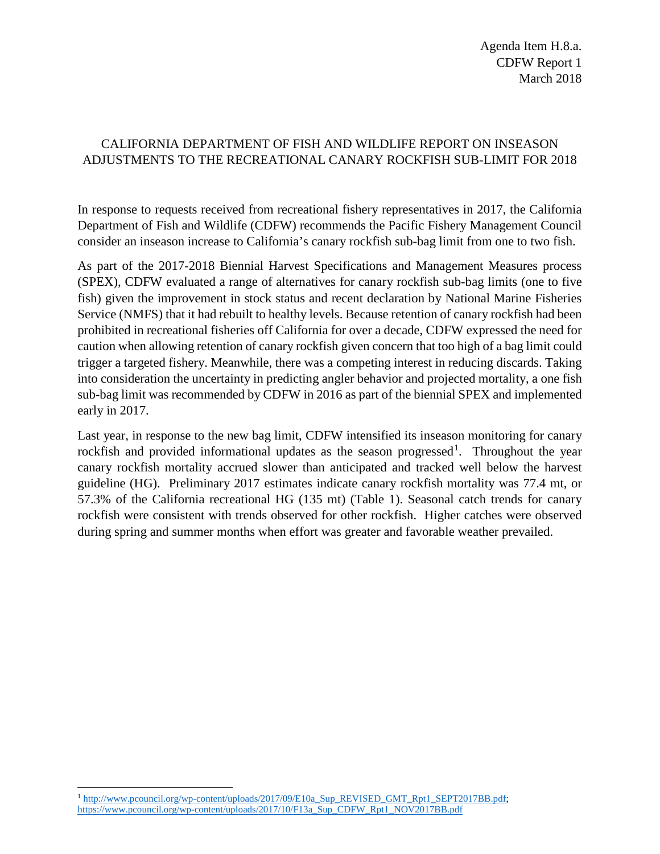## CALIFORNIA DEPARTMENT OF FISH AND WILDLIFE REPORT ON INSEASON ADJUSTMENTS TO THE RECREATIONAL CANARY ROCKFISH SUB-LIMIT FOR 2018

In response to requests received from recreational fishery representatives in 2017, the California Department of Fish and Wildlife (CDFW) recommends the Pacific Fishery Management Council consider an inseason increase to California's canary rockfish sub-bag limit from one to two fish.

As part of the 2017-2018 Biennial Harvest Specifications and Management Measures process (SPEX), CDFW evaluated a range of alternatives for canary rockfish sub-bag limits (one to five fish) given the improvement in stock status and recent declaration by National Marine Fisheries Service (NMFS) that it had rebuilt to healthy levels. Because retention of canary rockfish had been prohibited in recreational fisheries off California for over a decade, CDFW expressed the need for caution when allowing retention of canary rockfish given concern that too high of a bag limit could trigger a targeted fishery. Meanwhile, there was a competing interest in reducing discards. Taking into consideration the uncertainty in predicting angler behavior and projected mortality, a one fish sub-bag limit was recommended by CDFW in 2016 as part of the biennial SPEX and implemented early in 2017.

Last year, in response to the new bag limit, CDFW intensified its inseason monitoring for canary rockfish and provided informational updates as the season progressed<sup>[1](#page-0-0)</sup>. Throughout the year canary rockfish mortality accrued slower than anticipated and tracked well below the harvest guideline (HG). Preliminary 2017 estimates indicate canary rockfish mortality was 77.4 mt, or 57.3% of the California recreational HG (135 mt) (Table 1). Seasonal catch trends for canary rockfish were consistent with trends observed for other rockfish. Higher catches were observed during spring and summer months when effort was greater and favorable weather prevailed.

<span id="page-0-0"></span> $\ddot{\phantom{a}}$ <sup>1</sup> [http://www.pcouncil.org/wp-content/uploads/2017/09/E10a\\_Sup\\_REVISED\\_GMT\\_Rpt1\\_SEPT2017BB.pdf;](http://www.pcouncil.org/wp-content/uploads/2017/09/E10a_Sup_REVISED_GMT_Rpt1_SEPT2017BB.pdf) [https://www.pcouncil.org/wp-content/uploads/2017/10/F13a\\_Sup\\_CDFW\\_Rpt1\\_NOV2017BB.pdf](https://www.pcouncil.org/wp-content/uploads/2017/10/F13a_Sup_CDFW_Rpt1_NOV2017BB.pdf)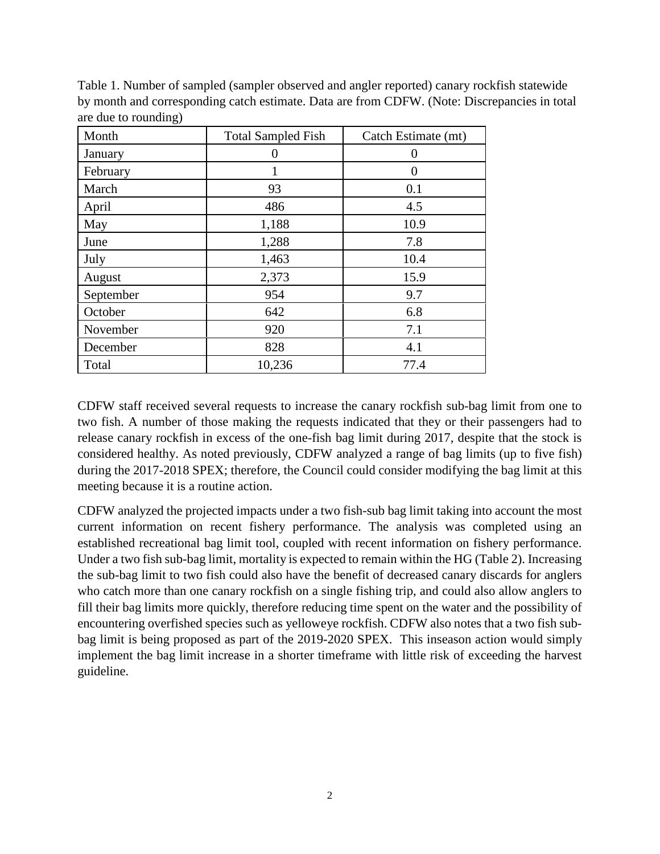| Month     | <b>Total Sampled Fish</b> | Catch Estimate (mt) |
|-----------|---------------------------|---------------------|
| January   | 0                         | 0                   |
| February  |                           | 0                   |
| March     | 93                        | 0.1                 |
| April     | 486                       | 4.5                 |
| May       | 1,188                     | 10.9                |
| June      | 1,288                     | 7.8                 |
| July      | 1,463                     | 10.4                |
| August    | 2,373                     | 15.9                |
| September | 954                       | 9.7                 |
| October   | 642                       | 6.8                 |
| November  | 920                       | 7.1                 |
| December  | 828                       | 4.1                 |
| Total     | 10,236                    | 77.4                |

Table 1. Number of sampled (sampler observed and angler reported) canary rockfish statewide by month and corresponding catch estimate. Data are from CDFW. (Note: Discrepancies in total are due to rounding)

CDFW staff received several requests to increase the canary rockfish sub-bag limit from one to two fish. A number of those making the requests indicated that they or their passengers had to release canary rockfish in excess of the one-fish bag limit during 2017, despite that the stock is considered healthy. As noted previously, CDFW analyzed a range of bag limits (up to five fish) during the 2017-2018 SPEX; therefore, the Council could consider modifying the bag limit at this meeting because it is a routine action.

CDFW analyzed the projected impacts under a two fish-sub bag limit taking into account the most current information on recent fishery performance. The analysis was completed using an established recreational bag limit tool, coupled with recent information on fishery performance. Under a two fish sub-bag limit, mortality is expected to remain within the HG (Table 2). Increasing the sub-bag limit to two fish could also have the benefit of decreased canary discards for anglers who catch more than one canary rockfish on a single fishing trip, and could also allow anglers to fill their bag limits more quickly, therefore reducing time spent on the water and the possibility of encountering overfished species such as yelloweye rockfish. CDFW also notes that a two fish subbag limit is being proposed as part of the 2019-2020 SPEX. This inseason action would simply implement the bag limit increase in a shorter timeframe with little risk of exceeding the harvest guideline.